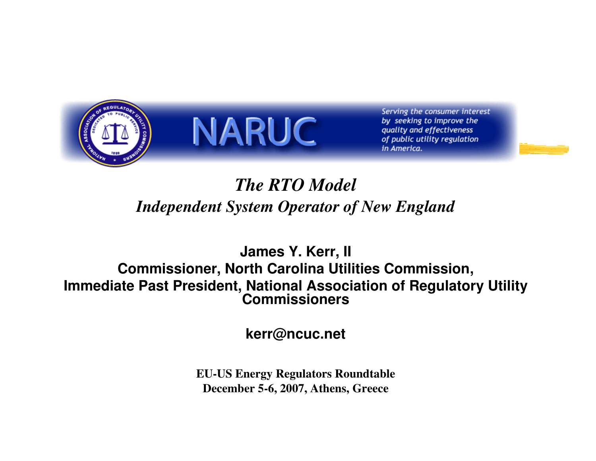



Serving the consumer interest by seeking to improve the quality and effectiveness of public utility regulation in America.

### *The RTO ModelIndependent System Operator of New England*

**James Y. Kerr, II Commissioner, North Carolina Utilities Commission,Immediate Past President, National Association of Regulatory Utility Commissioners**

**kerr@ncuc.net**

**EU-US Energy Regulators RoundtableDecember 5-6, 2007, Athens, Greece**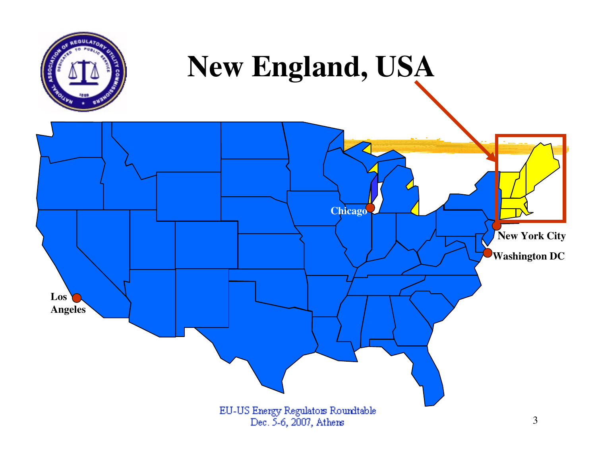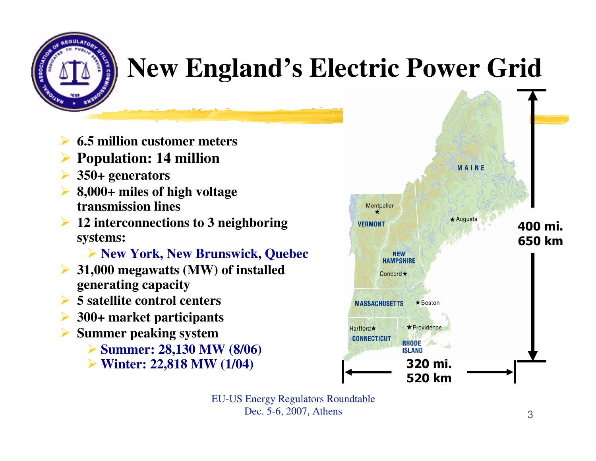

### **New England's Electric Power Grid**

- $\blacktriangleright$ **6.5 million customer meters**
- $\blacktriangleright$ **Population: 14 million**
- $\blacktriangleright$ **350+ generators**
- **8,000+ miles of high voltage transmission lines**
- **12 interconnections to 3 neighboring systems:**

**New York, New Brunswick, Quebec**

- **31,000 megawatts (MW) of installed generating capacity**
- **5 satellite control centers**
- **300+ market participants**
- $\blacktriangleright$  **Summer peaking system** 
	- **Summer: 28,130 MW (8/06)**<br>Sa Winton: 22,818 MW (1/04)
	-

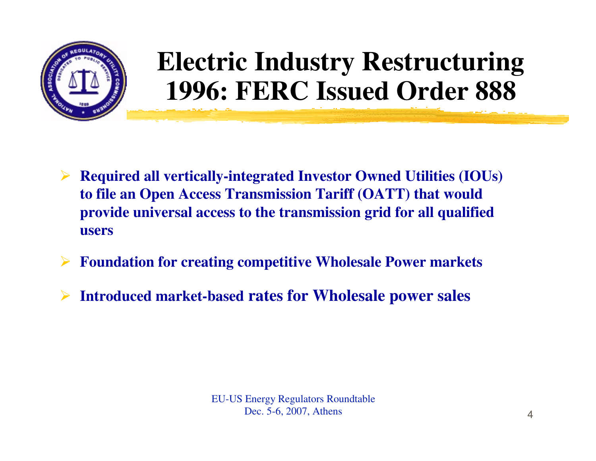

### **Electric Industry Restructuring1996: FERC Issued Order 888**

- **Required all vertically-integrated Investor Owned Utilities (IOUs) to file an Open Access Transmission Tariff (OATT) that would provide universal access to the transmission grid for all qualified users**
- $\sum_{i=1}^{n}$ **Foundation for creating competitive Wholesale Power markets**
- $\blacktriangleright$ **Introduced market-based rates for Wholesale power sales**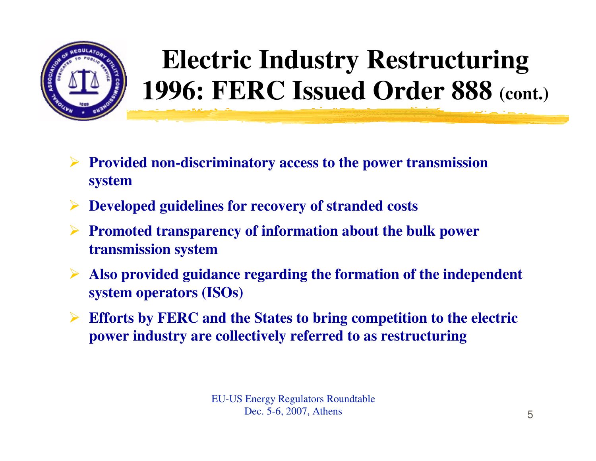

## **Electric Industry Restructuring1996: FERC Issued Order 888 (cont.)**

- $\blacktriangleright$  **Provided non-discriminatory access to the power transmission system**
- **Developed guidelines for recovery of stranded costs**
- **Promoted transparency of information about the bulk power transmission system**
- $\blacktriangleright$  **Also provided guidance regarding the formation of the independent system operators (ISOs)**
- **Efforts by FERC and the States to bring competition to the electric power industry are collectively referred to as restructuring**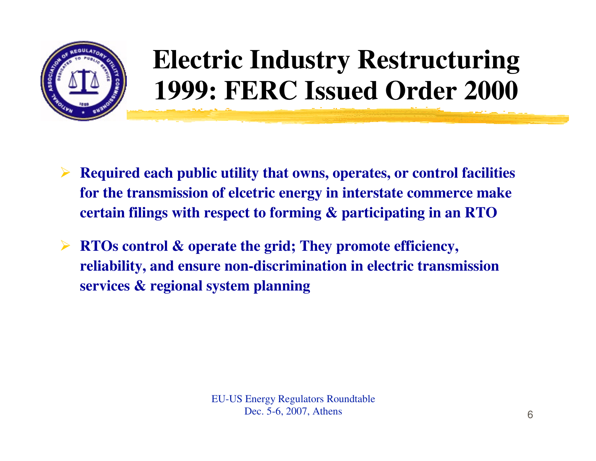

### **Electric Industry Restructuring1999: FERC Issued Order 2000**

- $\blacktriangleright$  **Required each public utility that owns, operates, or control facilities for the transmission of elcetric energy in interstate commerce make certain filings with respect to forming & participating in an RTO**
- $\blacktriangleright$  **RTOs control & operate the grid; They promote efficiency, reliability, and ensure non-discrimination in electric transmission services & regional system planning**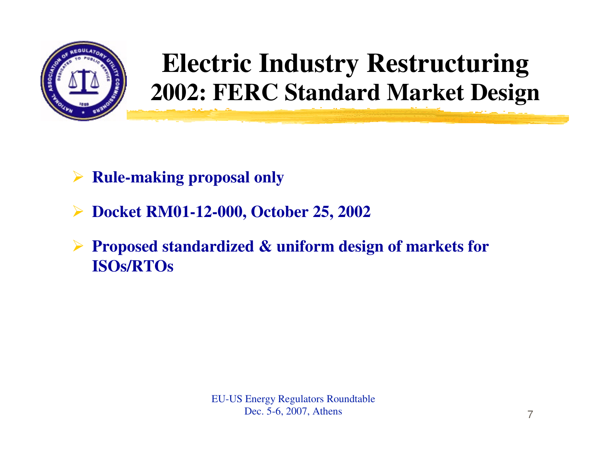

### **Electric Industry Restructuring2002: FERC Standard Market Design**

- $\triangleright$ **Rule-making proposal only**
- $\blacktriangleright$ **Docket RM01-12-000, October 25, 2002**
- $\blacktriangleright$  **Proposed standardized & uniform design of markets for ISOs/RTOs**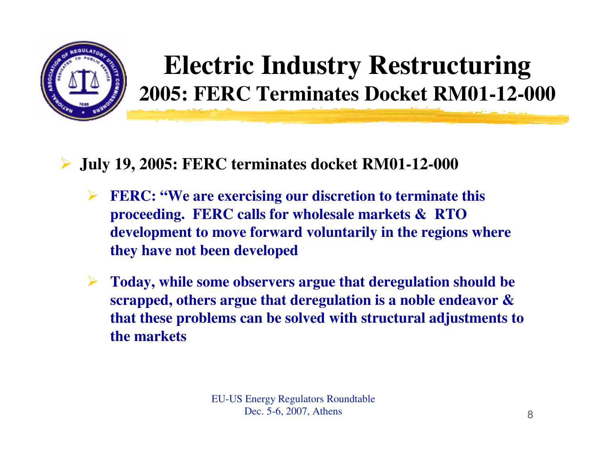

### **Electric Industry Restructuring2005: FERC Terminates Docket RM01-12-000**

#### $\blacktriangleright$ **July 19, 2005: FERC terminates docket RM01-12-000**

- $\blacktriangleright$  **FERC: "We are exercising our discretion to terminate this proceeding. FERC calls for wholesale markets & RTO development to move forward voluntarily in the regions where they have not been developed**
- $\blacktriangleright$  **Today, while some observers argue that deregulation should be scrapped, others argue that deregulation is a noble endeavor & that these problems can be solved with structural adjustments tothe markets**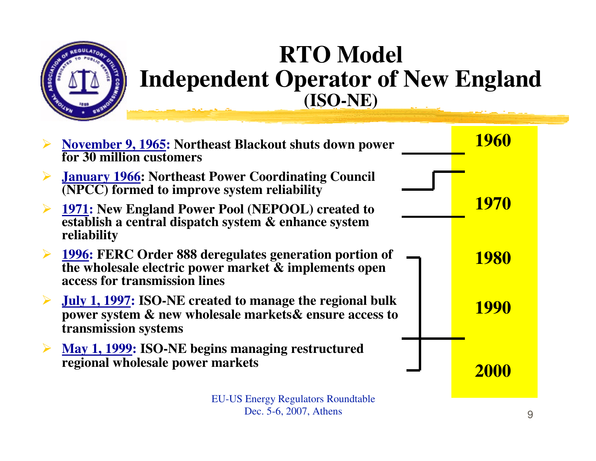

### **RTO Model Independent Operator of New England(ISO-NE)**

| <b>November 9, 1965: Northeast Blackout shuts down power</b><br>for 30 million customers                                                                | <b>1960</b> |  |
|---------------------------------------------------------------------------------------------------------------------------------------------------------|-------------|--|
| <b>January 1966: Northeast Power Coordinating Council</b><br>(NPCC) formed to improve system reliability                                                |             |  |
| <b>1971:</b> New England Power Pool (NEPOOL) created to<br>establish a central dispatch system & enhance system<br>reliability                          | <b>1970</b> |  |
| <b>1996: FERC Order 888 deregulates generation portion of</b><br>the wholesale electric power market & implements open<br>access for transmission lines | <b>1980</b> |  |
| July 1, 1997: ISO-NE created to manage the regional bulk<br>power system & new wholesale markets & ensure access to<br>transmission systems             | <b>1990</b> |  |
| May 1, 1999: ISO-NE begins managing restructured<br>regional wholesale power markets                                                                    | <b>2000</b> |  |
| <b>EU-US Energy Regulators Roundtable</b><br>Dec. 5-6, 2007, Athens                                                                                     | 9           |  |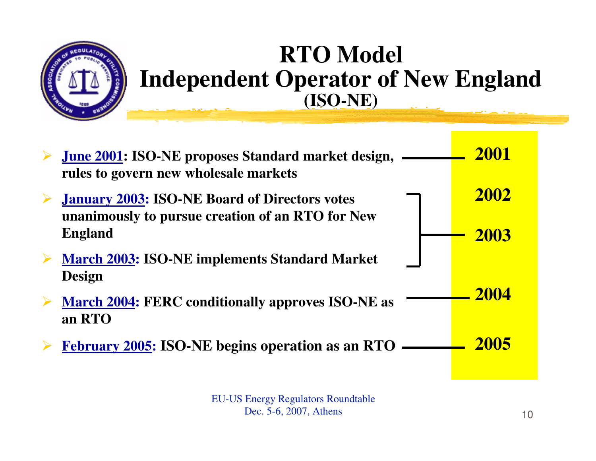

### **RTO Model Independent Operator of New England(ISO-NE)**

| <b>June 2001: ISO-NE proposes Standard market design,</b><br>rules to govern new wholesale markets       | 2001 |
|----------------------------------------------------------------------------------------------------------|------|
| <b>January 2003: ISO-NE Board of Directors votes</b><br>unanimously to pursue creation of an RTO for New | 2002 |
| <b>England</b>                                                                                           | 2003 |
| <b>March 2003: ISO-NE implements Standard Market</b><br><b>Design</b>                                    |      |
| <b>March 2004: FERC conditionally approves ISO-NE as</b><br>an RTO                                       | 2004 |
| <b>February 2005: ISO-NE begins operation as an RTO</b>                                                  | 2005 |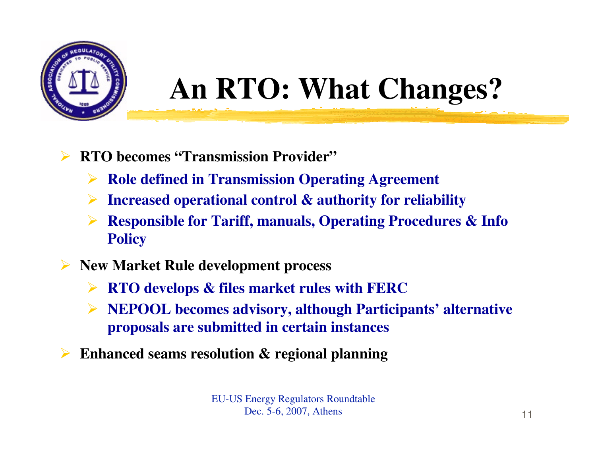

# **An RTO: What Changes?**

- $\blacktriangleright$  **RTO becomes "Transmission Provider"**
	- **Role defined in Transmission Operating Agreement**
	- $\blacktriangleright$ **Increased operational control & authority for reliability**
	- $\blacktriangleright$  **Responsible for Tariff, manuals, Operating Procedures & Info Policy**
- **New Market Rule development process**
	- $\blacktriangleright$ **RTO develops & files market rules with FERC**
	- $\blacktriangleright$  **NEPOOL becomes advisory, although Participants' alternative proposals are submitted in certain instances**
- $\blacktriangleright$ **Enhanced seams resolution & regional planning**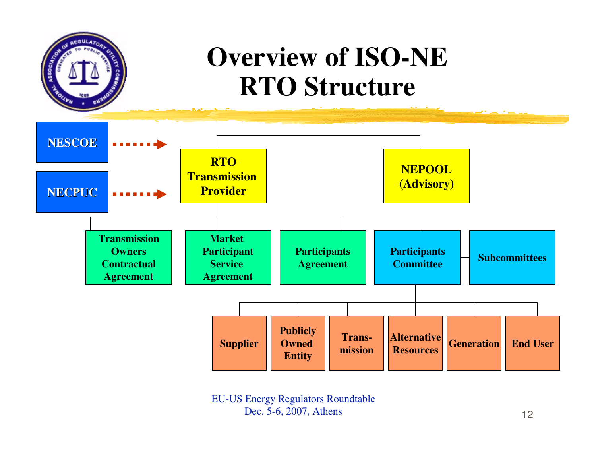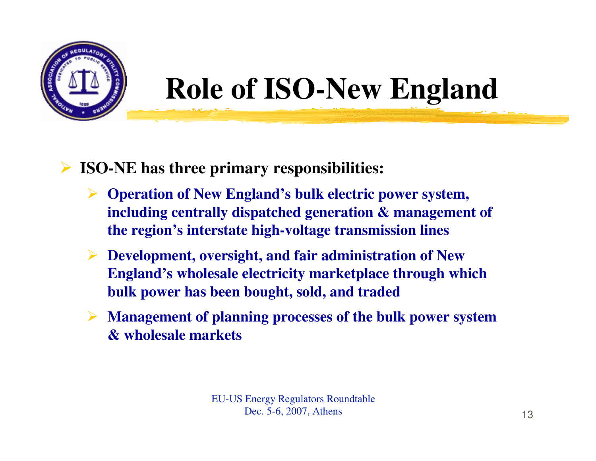

# **Role of ISO-New England**

#### $\blacktriangleright$ **ISO-NE has three primary responsibilities:**

- **Operation of New England's bulk electric power system, including centrally dispatched generation & management of the region's interstate high-voltage transmission lines**
- **Development, oversight, and fair administration of New England's wholesale electricity marketplace through which bulk power has been bought, sold, and traded**
- **Management of planning processes of the bulk power system & wholesale markets**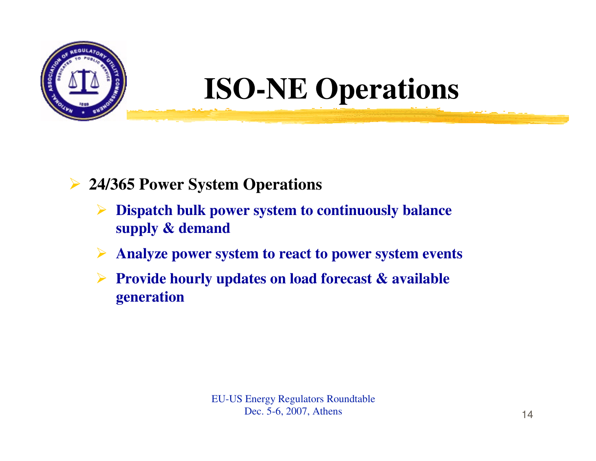

# **ISO-NE Operations**

#### $\blacktriangleright$ **24/365 Power System Operations**

- $\blacktriangleright$  **Dispatch bulk power system to continuously balance supply & demand**
- $\blacktriangleright$ **Analyze power system to react to power system events**
- $\triangleright$  **Provide hourly updates on load forecast & available generation**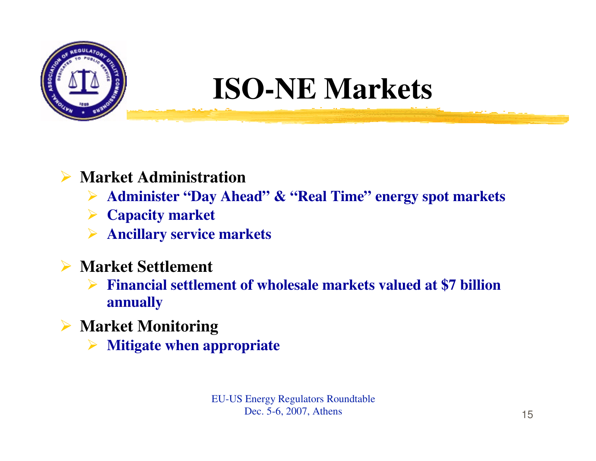

# **ISO-NE Markets**

### **Market Administration**

- **Administer "Day Ahead" & "Real Time" energy spot markets**
- **Capacity market**
- **Ancillary service markets**
- **Market Settlement** 
	- **Financial settlement of wholesale markets valued at \$7 billion annually**
- **Market Monitoring**
	- $\blacktriangleright$ **Mitigate when appropriate**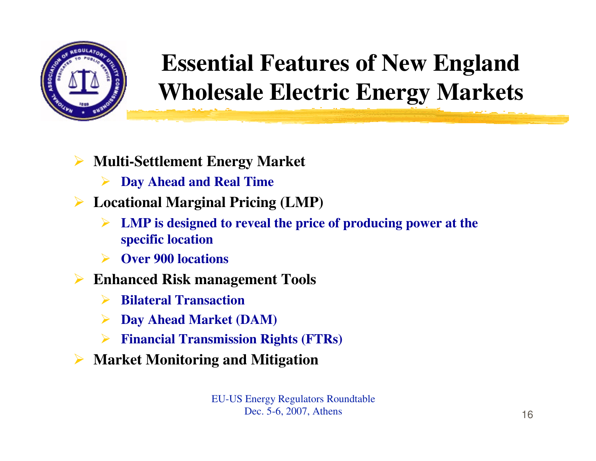

### **Essential Features of New England Wholesale Electric Energy Markets**

- $\blacktriangleright$  **Multi-Settlement Energy Market**
	- $\blacktriangleright$ **Day Ahead and Real Time**
- **Locational Marginal Pricing (LMP)**
	- $\blacktriangleright$  **LMP is designed to reveal the price of producing power at the specific location**
	- $\blacktriangleright$ **Over 900 locations**
- **Enhanced Risk management Tools**
	- $\blacktriangleright$ **Bilateral Transaction**
	- $\blacktriangleright$ **Day Ahead Market (DAM)**
	- $\blacktriangleright$ **Financial Transmission Rights (FTRs)**
- $\blacktriangleright$ **Market Monitoring and Mitigation**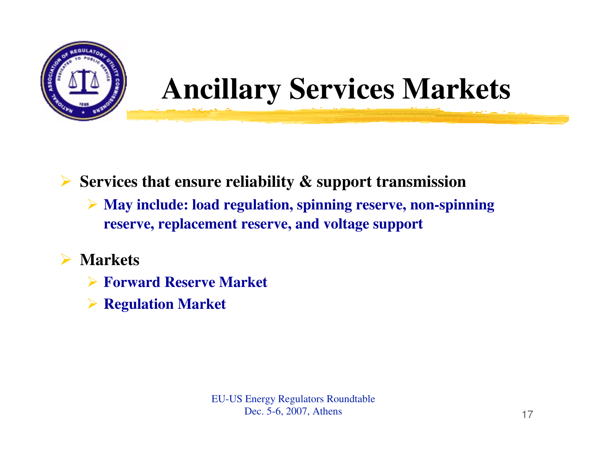

# **Ancillary Services Markets**

**Services that ensure reliability & support transmission**

 **May include: load regulation, spinning reserve, non-spinning reserve, replacement reserve, and voltage support**

#### $\sum_{i=1}^{n}$ **Markets**

- **Forward Reserve Market**
- **Regulation Market**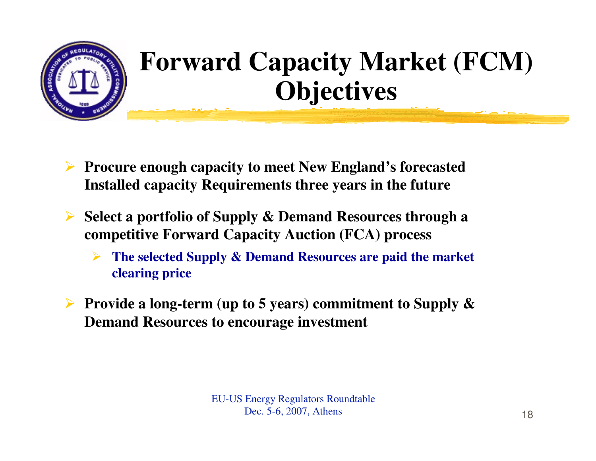

## **Forward Capacity Market (FCM) Objectives**

- $\blacktriangleright$  **Procure enough capacity to meet New England's forecasted Installed capacity Requirements three years in the future**
- $\blacktriangleright$  **Select a portfolio of Supply & Demand Resources through a competitive Forward Capacity Auction (FCA) process**
	- $\blacktriangleright$  **The selected Supply & Demand Resources are paid the market clearing price**
- **Provide a long-term (up to 5 years) commitment to Supply & Demand Resources to encourage investment**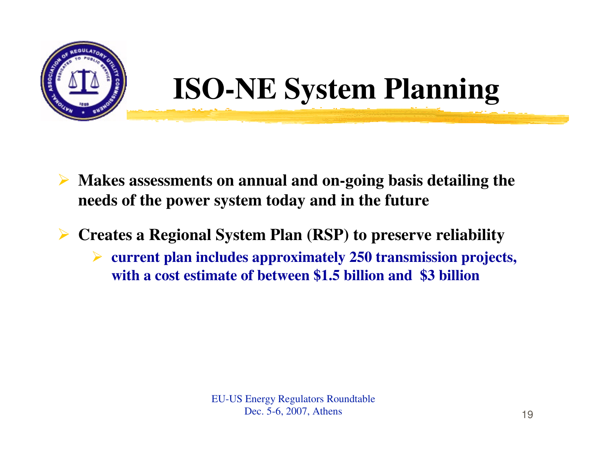



- **Makes assessments on annual and on-going basis detailing the needs of the power system today and in the future**
- $\blacktriangleright$  **Creates a Regional System Plan (RSP) to preserve reliability**
	- $\blacktriangleright$  **current plan includes approximately 250 transmission projects, with a cost estimate of between \$1.5 billion and \$3 billion**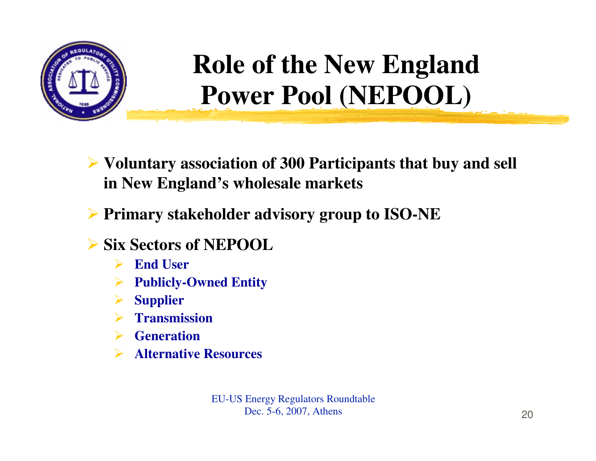

## **Role of the New England Power Pool (NEPOOL)**

- **Voluntary association of 300 Participants that buy and sell in New England's wholesale markets**
- **Primary stakeholder advisory group to ISO-NE**
- **Six Sectors of NEPOOL**
	- $\sum_{i=1}^{n}$ **End User**
	- $\blacktriangleright$ **Publicly-Owned Entity**
	- $\blacktriangleright$ **Supplier**
	- $\blacktriangleright$ **Transmission**
	- **Generation**
	- $\blacktriangleright$ **Alternative Resources**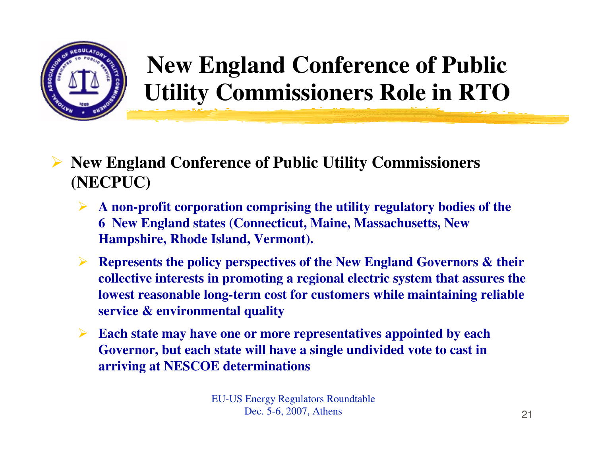

### **New England Conference of Public Utility Commissioners Role in RTO**

- **New England Conference of Public Utility Commissioners (NECPUC)**
	- $\blacktriangleright$  **A non-profit corporation comprising the utility regulatory bodies of the 6 New England states (Connecticut, Maine, Massachusetts, New Hampshire, Rhode Island, Vermont).**
	- $\blacktriangleright$  **Represents the policy perspectives of the New England Governors & their collective interests in promoting a regional electric system that assures the lowest reasonable long-term cost for customers while maintaining reliable service & environmental quality**
	- $\blacktriangleright$  **Each state may have one or more representatives appointed by each Governor, but each state will have a single undivided vote to cast in arriving at NESCOE determinations**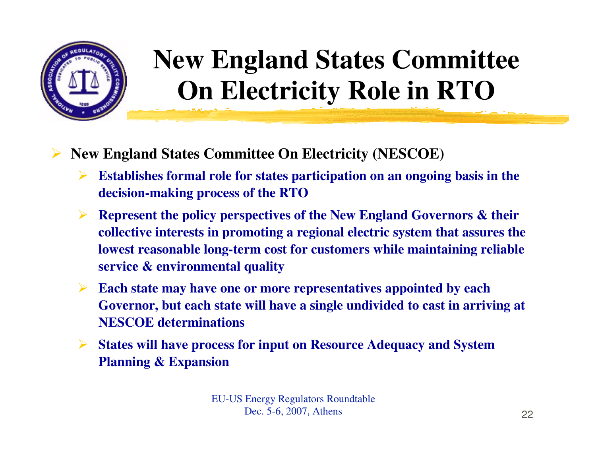

## **New England States Committee On Electricity Role in RTO**

- $\blacktriangleright$  **New England States Committee On Electricity (NESCOE)**
	- $\blacktriangleright$  **Establishes formal role for states participation on an ongoing basis in the decision-making process of the RTO**
	- $\blacktriangleright$  **Represent the policy perspectives of the New England Governors & their collective interests in promoting a regional electric system that assures the lowest reasonable long-term cost for customers while maintaining reliable service & environmental quality**
	- $\blacktriangleright$  **Each state may have one or more representatives appointed by each Governor, but each state will have a single undivided to cast in arriving at NESCOE determinations**
	- $\blacktriangleright$  **States will have process for input on Resource Adequacy and System Planning & Expansion**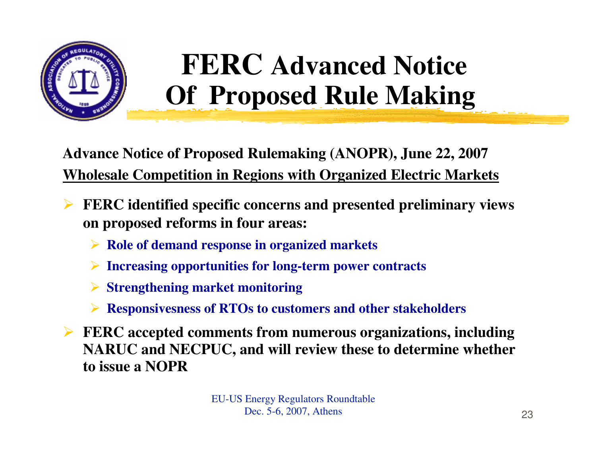

# **FERC Advanced Notice Of Proposed Rule Making**

**Advance Notice of Proposed Rulemaking (ANOPR), June 22, 2007Wholesale Competition in Regions with Organized Electric Markets**

- $\blacktriangleright$  **FERC identified specific concerns and presented preliminary views on proposed reforms in four areas:**
	- **Role of demand response in organized markets**
	- **Increasing opportunities for long-term power contracts**
	- **Strengthening market monitoring**
	- **Responsivesness of RTOs to customers and other stakeholders**
- **FERC accepted comments from numerous organizations, including NA DIIC and NECDIIC and will review these to determine whether NARUC and NECPUC, and will review these to determine whether to issue a NOPR**